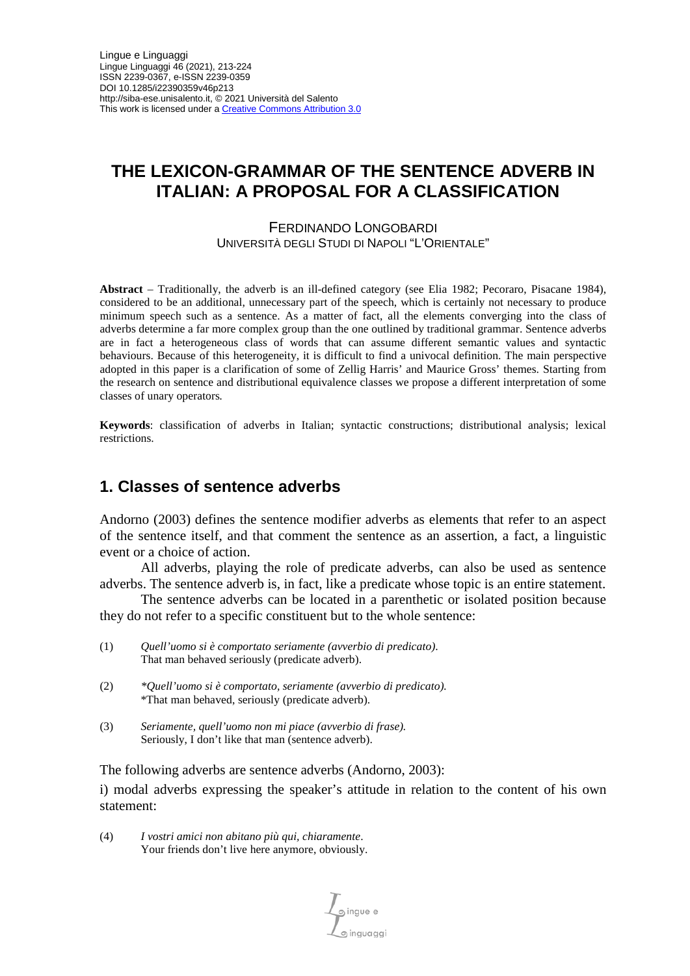# **THE LEXICON-GRAMMAR OF THE SENTENCE ADVERB IN ITALIAN: A PROPOSAL FOR A CLASSIFICATION**

FERDINANDO LONGOBARDI UNIVERSITÀ DEGLI STUDI DI NAPOLI "L'ORIENTALE"

**Abstract** – Traditionally, the adverb is an ill-defined category (see Elia 1982; Pecoraro, Pisacane 1984), considered to be an additional, unnecessary part of the speech, which is certainly not necessary to produce minimum speech such as a sentence. As a matter of fact, all the elements converging into the class of adverbs determine a far more complex group than the one outlined by traditional grammar. Sentence adverbs are in fact a heterogeneous class of words that can assume different semantic values and syntactic behaviours. Because of this heterogeneity, it is difficult to find a univocal definition. The main perspective adopted in this paper is a clarification of some of Zellig Harris' and Maurice Gross' themes. Starting from the research on sentence and distributional equivalence classes we propose a different interpretation of some classes of unary operators*.*

**Keywords**: classification of adverbs in Italian; syntactic constructions; distributional analysis; lexical restrictions.

### **1. Classes of sentence adverbs**

Andorno (2003) defines the sentence modifier adverbs as elements that refer to an aspect of the sentence itself, and that comment the sentence as an assertion, a fact, a linguistic event or a choice of action.

All adverbs, playing the role of predicate adverbs, can also be used as sentence adverbs. The sentence adverb is, in fact, like a predicate whose topic is an entire statement.

The sentence adverbs can be located in a parenthetic or isolated position because they do not refer to a specific constituent but to the whole sentence:

- (1) *Quell'uomo si è comportato seriamente (avverbio di predicato)*. That man behaved seriously (predicate adverb).
- (2) *\*Quell'uomo si è comportato, seriamente (avverbio di predicato).*  \*That man behaved, seriously (predicate adverb).
- (3) *Seriamente, quell'uomo non mi piace (avverbio di frase).* Seriously, I don't like that man (sentence adverb).

The following adverbs are sentence adverbs (Andorno, 2003):

i) modal adverbs expressing the speaker's attitude in relation to the content of his own statement:

(4) *I vostri amici non abitano più qui, chiaramente*. Your friends don't live here anymore, obviously.

 $\overline{\mathcal{L}}$  ingue e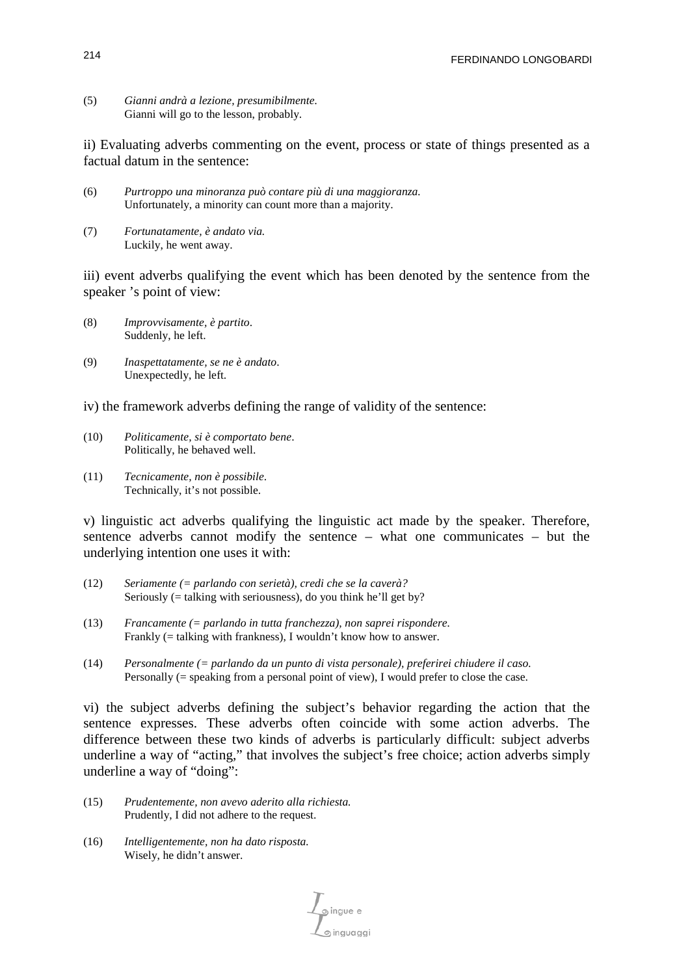(5) *Gianni andrà a lezione, presumibilmente.* Gianni will go to the lesson, probably.

ii) Evaluating adverbs commenting on the event, process or state of things presented as a factual datum in the sentence:

- (6) *Purtroppo una minoranza può contare più di una maggioranza.* Unfortunately, a minority can count more than a majority.
- (7) *Fortunatamente, è andato via.* Luckily, he went away.

iii) event adverbs qualifying the event which has been denoted by the sentence from the speaker 's point of view:

- (8) *Improvvisamente, è partito*. Suddenly, he left.
- (9) *Inaspettatamente, se ne è andato*. Unexpectedly, he left.

iv) the framework adverbs defining the range of validity of the sentence:

- (10) *Politicamente, si è comportato bene*. Politically, he behaved well.
- (11) *Tecnicamente, non è possibile*. Technically, it's not possible.

v) linguistic act adverbs qualifying the linguistic act made by the speaker. Therefore, sentence adverbs cannot modify the sentence – what one communicates – but the underlying intention one uses it with:

- (12) *Seriamente (= parlando con serietà), credi che se la caverà?* Seriously (= talking with seriousness), do you think he'll get by?
- (13) *Francamente (= parlando in tutta franchezza), non saprei rispondere.* Frankly (= talking with frankness), I wouldn't know how to answer.
- (14) *Personalmente (= parlando da un punto di vista personale), preferirei chiudere il caso.* Personally (= speaking from a personal point of view), I would prefer to close the case.

vi) the subject adverbs defining the subject's behavior regarding the action that the sentence expresses. These adverbs often coincide with some action adverbs. The difference between these two kinds of adverbs is particularly difficult: subject adverbs underline a way of "acting," that involves the subject's free choice; action adverbs simply underline a way of "doing":

- (15) *Prudentemente, non avevo aderito alla richiesta.* Prudently, I did not adhere to the request.
- (16) *Intelligentemente, non ha dato risposta.* Wisely, he didn't answer.

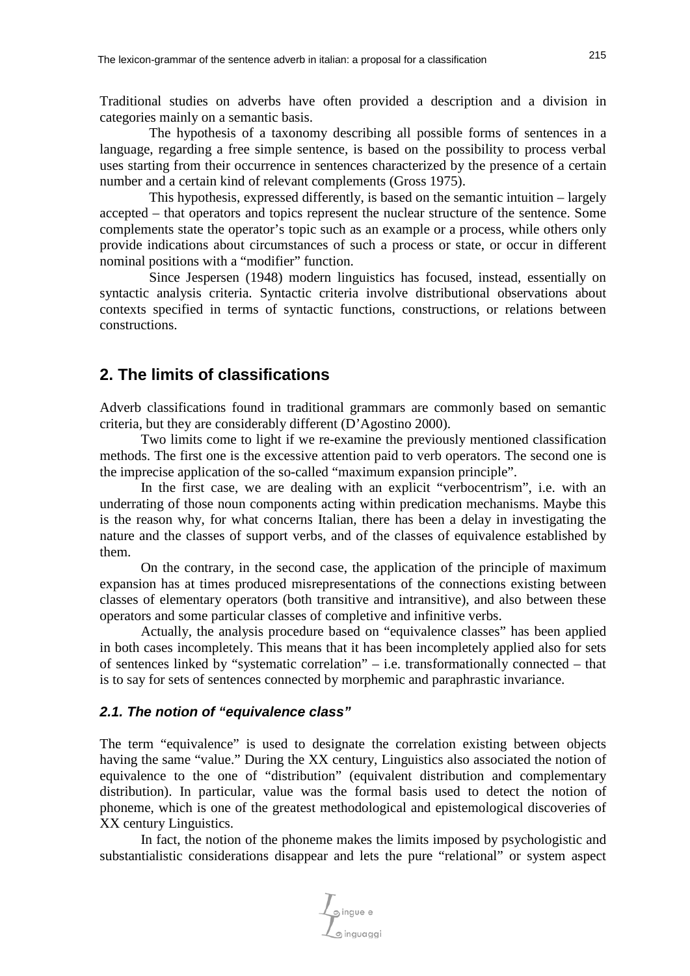Traditional studies on adverbs have often provided a description and a division in categories mainly on a semantic basis.

The hypothesis of a taxonomy describing all possible forms of sentences in a language, regarding a free simple sentence, is based on the possibility to process verbal uses starting from their occurrence in sentences characterized by the presence of a certain number and a certain kind of relevant complements (Gross 1975).

This hypothesis, expressed differently, is based on the semantic intuition – largely accepted – that operators and topics represent the nuclear structure of the sentence. Some complements state the operator's topic such as an example or a process, while others only provide indications about circumstances of such a process or state, or occur in different nominal positions with a "modifier" function.

Since Jespersen (1948) modern linguistics has focused, instead, essentially on syntactic analysis criteria. Syntactic criteria involve distributional observations about contexts specified in terms of syntactic functions, constructions, or relations between constructions.

### **2. The limits of classifications**

Adverb classifications found in traditional grammars are commonly based on semantic criteria, but they are considerably different (D'Agostino 2000).

Two limits come to light if we re-examine the previously mentioned classification methods. The first one is the excessive attention paid to verb operators. The second one is the imprecise application of the so-called "maximum expansion principle".

In the first case, we are dealing with an explicit "verbocentrism", i.e. with an underrating of those noun components acting within predication mechanisms. Maybe this is the reason why, for what concerns Italian, there has been a delay in investigating the nature and the classes of support verbs, and of the classes of equivalence established by them.

On the contrary, in the second case, the application of the principle of maximum expansion has at times produced misrepresentations of the connections existing between classes of elementary operators (both transitive and intransitive), and also between these operators and some particular classes of completive and infinitive verbs.

Actually, the analysis procedure based on "equivalence classes" has been applied in both cases incompletely. This means that it has been incompletely applied also for sets of sentences linked by "systematic correlation" – i.e. transformationally connected – that is to say for sets of sentences connected by morphemic and paraphrastic invariance.

#### *2.1. The notion of "equivalence class"*

The term "equivalence" is used to designate the correlation existing between objects having the same "value." During the XX century, Linguistics also associated the notion of equivalence to the one of "distribution" (equivalent distribution and complementary distribution). In particular, value was the formal basis used to detect the notion of phoneme, which is one of the greatest methodological and epistemological discoveries of XX century Linguistics.

In fact, the notion of the phoneme makes the limits imposed by psychologistic and substantialistic considerations disappear and lets the pure "relational" or system aspect

pingue e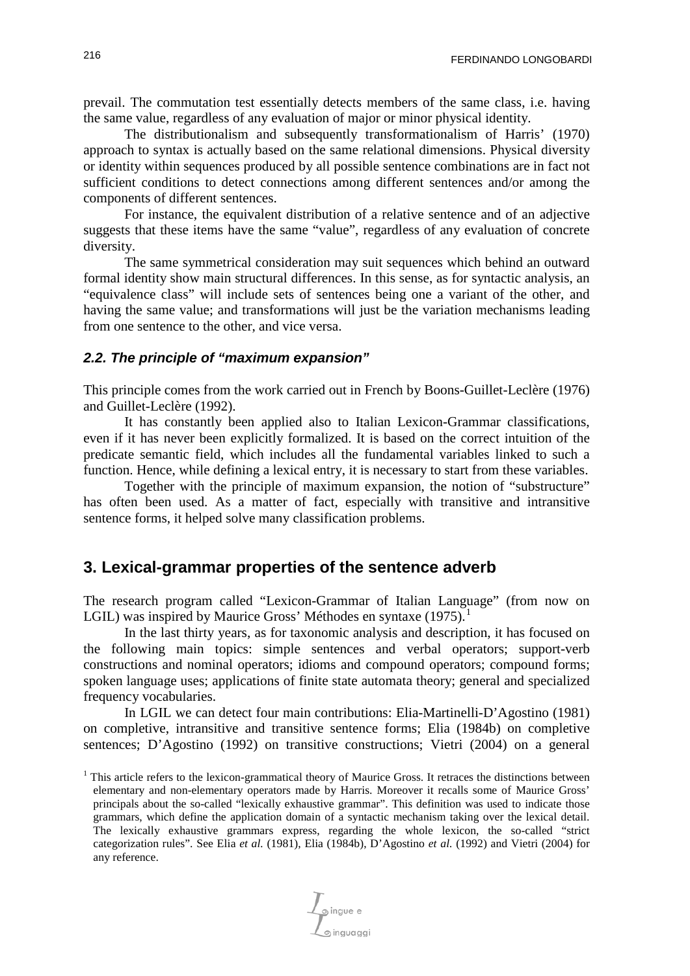prevail. The commutation test essentially detects members of the same class, i.e. having the same value, regardless of any evaluation of major or minor physical identity.

The distributionalism and subsequently transformationalism of Harris' (1970) approach to syntax is actually based on the same relational dimensions. Physical diversity or identity within sequences produced by all possible sentence combinations are in fact not sufficient conditions to detect connections among different sentences and/or among the components of different sentences.

For instance, the equivalent distribution of a relative sentence and of an adjective suggests that these items have the same "value", regardless of any evaluation of concrete diversity.

The same symmetrical consideration may suit sequences which behind an outward formal identity show main structural differences. In this sense, as for syntactic analysis, an "equivalence class" will include sets of sentences being one a variant of the other, and having the same value; and transformations will just be the variation mechanisms leading from one sentence to the other, and vice versa.

#### *2.2. The principle of "maximum expansion"*

This principle comes from the work carried out in French by Boons-Guillet-Leclère (1976) and Guillet-Leclère (1992).

It has constantly been applied also to Italian Lexicon-Grammar classifications, even if it has never been explicitly formalized. It is based on the correct intuition of the predicate semantic field, which includes all the fundamental variables linked to such a function. Hence, while defining a lexical entry, it is necessary to start from these variables.

Together with the principle of maximum expansion, the notion of "substructure" has often been used. As a matter of fact, especially with transitive and intransitive sentence forms, it helped solve many classification problems.

## **3. Lexical-grammar properties of the sentence adverb**

The research program called "Lexicon-Grammar of Italian Language" (from now on LGIL) was inspired by Maurice Gross' Méthodes en syntaxe ([1](#page-3-0)975).<sup>1</sup>

In the last thirty years, as for taxonomic analysis and description, it has focused on the following main topics: simple sentences and verbal operators; support-verb constructions and nominal operators; idioms and compound operators; compound forms; spoken language uses; applications of finite state automata theory; general and specialized frequency vocabularies.

In LGIL we can detect four main contributions: Elia-Martinelli-D'Agostino (1981) on completive, intransitive and transitive sentence forms; Elia (1984b) on completive sentences; D'Agostino (1992) on transitive constructions; Vietri (2004) on a general

<span id="page-3-0"></span><sup>1</sup> This article refers to the lexicon-grammatical theory of Maurice Gross. It retraces the distinctions between elementary and non-elementary operators made by Harris. Moreover it recalls some of Maurice Gross' principals about the so-called "lexically exhaustive grammar". This definition was used to indicate those grammars, which define the application domain of a syntactic mechanism taking over the lexical detail. The lexically exhaustive grammars express, regarding the whole lexicon, the so-called "strict categorization rules". See Elia *et al.* (1981), Elia (1984b), D'Agostino *et al.* (1992) and Vietri (2004) for any reference.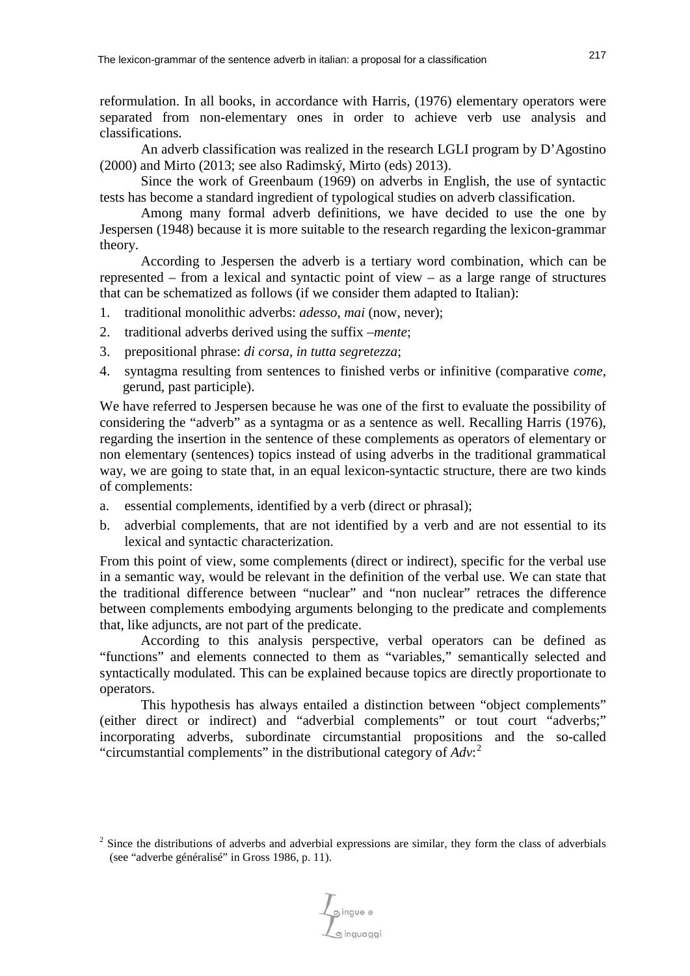reformulation. In all books, in accordance with Harris, (1976) elementary operators were separated from non-elementary ones in order to achieve verb use analysis and classifications.

An adverb classification was realized in the research LGLI program by D'Agostino (2000) and Mirto (2013; see also Radimský, Mirto (eds) 2013).

Since the work of Greenbaum (1969) on adverbs in English, the use of syntactic tests has become a standard ingredient of typological studies on adverb classification.

Among many formal adverb definitions, we have decided to use the one by Jespersen (1948) because it is more suitable to the research regarding the lexicon-grammar theory.

According to Jespersen the adverb is a tertiary word combination, which can be represented – from a lexical and syntactic point of view – as a large range of structures that can be schematized as follows (if we consider them adapted to Italian):

- 1. traditional monolithic adverbs: *adesso*, *mai* (now, never);
- 2. traditional adverbs derived using the suffix *–mente*;
- 3. prepositional phrase: *di corsa*, *in tutta segr*e*tezza*;
- 4. syntagma resulting from sentences to finished verbs or infinitive (comparative *come*, gerund, past participle).

We have referred to Jespersen because he was one of the first to evaluate the possibility of considering the "adverb" as a syntagma or as a sentence as well. Recalling Harris (1976), regarding the insertion in the sentence of these complements as operators of elementary or non elementary (sentences) topics instead of using adverbs in the traditional grammatical way, we are going to state that, in an equal lexicon-syntactic structure, there are two kinds of complements:

- a. essential complements, identified by a verb (direct or phrasal);
- b. adverbial complements, that are not identified by a verb and are not essential to its lexical and syntactic characterization.

From this point of view, some complements (direct or indirect), specific for the verbal use in a semantic way, would be relevant in the definition of the verbal use. We can state that the traditional difference between "nuclear" and "non nuclear" retraces the difference between complements embodying arguments belonging to the predicate and complements that, like adjuncts, are not part of the predicate.

According to this analysis perspective, verbal operators can be defined as "functions" and elements connected to them as "variables," semantically selected and syntactically modulated. This can be explained because topics are directly proportionate to operators.

This hypothesis has always entailed a distinction between "object complements" (either direct or indirect) and "adverbial complements" or tout court "adverbs;" incorporating adverbs, subordinate circumstantial propositions and the so-called "circumstantial complements" in the distributional category of *Adv*: [2](#page-4-0)

<span id="page-4-0"></span><sup>&</sup>lt;sup>2</sup> Since the distributions of adverbs and adverbial expressions are similar, they form the class of adverbials (see "adverbe généralisé" in Gross 1986, p. 11).

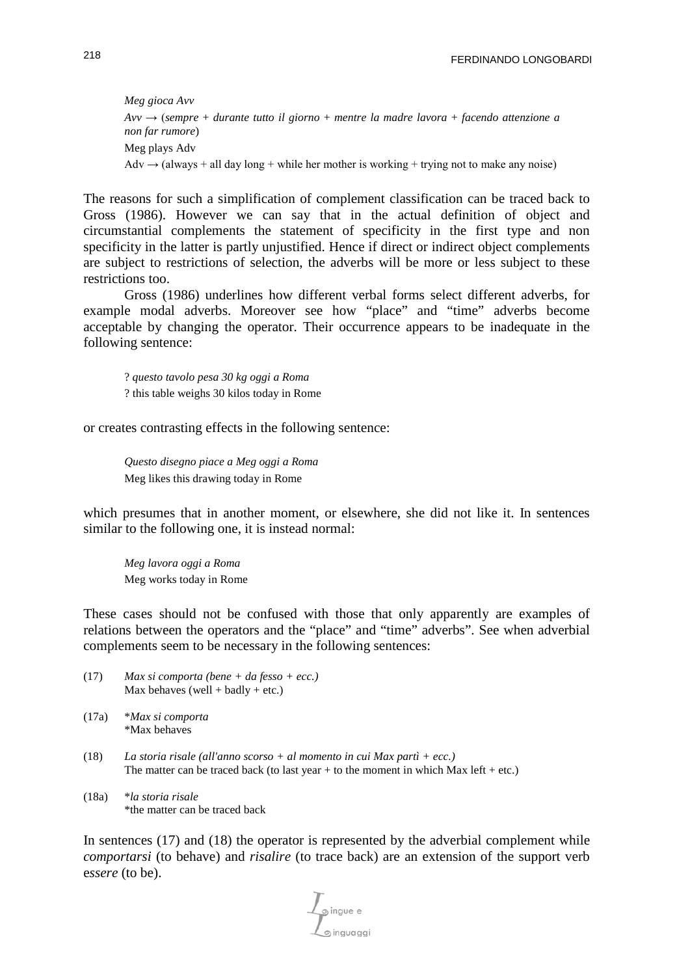*Meg gioca Avv Avv* → (*sempre* + *durante tutto il giorno* + *mentre la madre lavora* + *facendo attenzione a non far rumore*) Meg plays Adv Adv  $\rightarrow$  (always + all day long + while her mother is working + trying not to make any noise)

The reasons for such a simplification of complement classification can be traced back to Gross (1986). However we can say that in the actual definition of object and circumstantial complements the statement of specificity in the first type and non specificity in the latter is partly unjustified. Hence if direct or indirect object complements are subject to restrictions of selection, the adverbs will be more or less subject to these restrictions too.

Gross (1986) underlines how different verbal forms select different adverbs, for example modal adverbs. Moreover see how "place" and "time" adverbs become acceptable by changing the operator. Their occurrence appears to be inadequate in the following sentence:

? *questo tavolo pesa 30 kg oggi a Roma* ? this table weighs 30 kilos today in Rome

or creates contrasting effects in the following sentence:

*Questo disegno piace a Meg oggi a Roma* Meg likes this drawing today in Rome

which presumes that in another moment, or elsewhere, she did not like it. In sentences similar to the following one, it is instead normal:

*Meg lavora oggi a Roma* Meg works today in Rome

These cases should not be confused with those that only apparently are examples of relations between the operators and the "place" and "time" adverbs". See when adverbial complements seem to be necessary in the following sentences:

- (17) *Max si comporta (bene + da fesso + ecc.)* Max behaves (well + badly + etc.)
- (17a) \**Max si comporta* \*Max behaves
- (18) *La storia risale (all'anno scorso + al momento in cui Max partì + ecc.)* The matter can be traced back (to last year  $+$  to the moment in which Max left  $+$  etc.)
- (18a) \**la storia risale* \*the matter can be traced back

In sentences (17) and (18) the operator is represented by the adverbial complement while *comportarsi* (to behave) and *risalire* (to trace back) are an extension of the support verb e*ssere* (to be).

ര inauaaai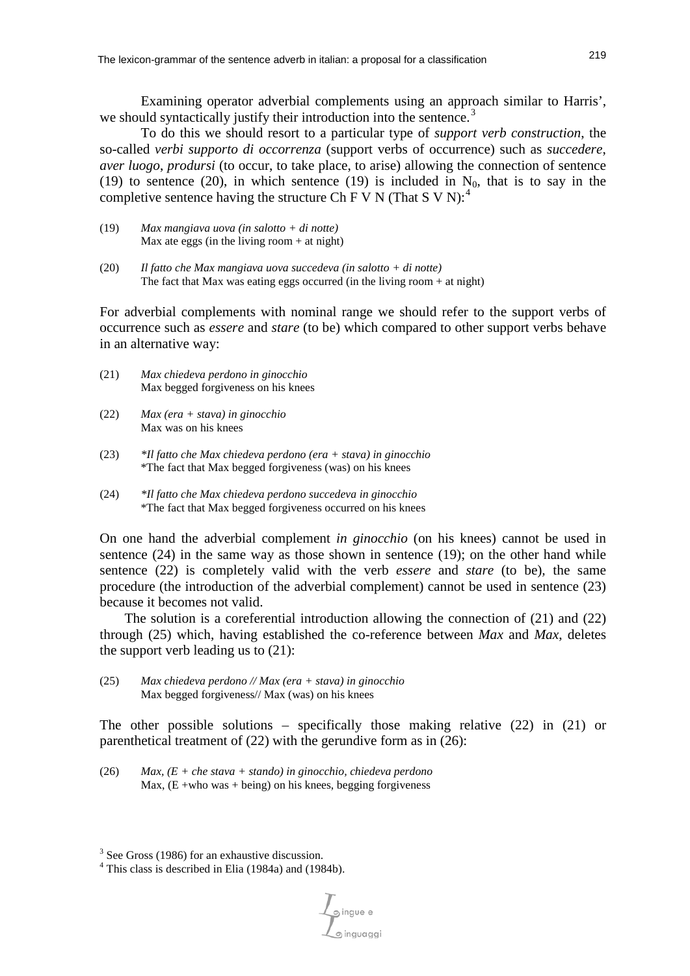Examining operator adverbial complements using an approach similar to Harris', we should syntactically justify their introduction into the sentence.<sup>[3](#page-6-0)</sup>

To do this we should resort to a particular type of *support verb construction*, the so-called *verbi supporto di occorrenza* (support verbs of occurrence) such as *succedere*, *aver luogo*, *prodursi* (to occur, to take place, to arise) allowing the connection of sentence (19) to sentence (20), in which sentence (19) is included in  $N_0$ , that is to say in the completive sentence having the structure Ch F V N (That S V N):<sup>[4](#page-6-0)</sup>

- (19) *Max mangiava uova (in salotto + di notte)* Max ate eggs (in the living room  $+$  at night)
- (20) *Il fatto che Max mangiava uova succedeva (in salotto + di notte)* The fact that Max was eating eggs occurred (in the living room  $+$  at night)

For adverbial complements with nominal range we should refer to the support verbs of occurrence such as *essere* and *stare* (to be) which compared to other support verbs behave in an alternative way:

- (21) *Max chiedeva perdono in ginocchio* Max begged forgiveness on his knees
- (22) *Max (era + stava) in ginocchio* Max was on his knees
- (23) *\*Il fatto che Max chiedeva perdono (era + stava) in ginocchio* \*The fact that Max begged forgiveness (was) on his knees
- (24) *\*Il fatto che Max chiedeva perdono succedeva in ginocchio* \*The fact that Max begged forgiveness occurred on his knees

On one hand the adverbial complement *in ginocchio* (on his knees) cannot be used in sentence  $(24)$  in the same way as those shown in sentence  $(19)$ ; on the other hand while sentence (22) is completely valid with the verb *essere* and *stare* (to be)*,* the same procedure (the introduction of the adverbial complement) cannot be used in sentence (23) because it becomes not valid.

The solution is a coreferential introduction allowing the connection of (21) and (22) through (25) which, having established the co-reference between *Max* and *Max*, deletes the support verb leading us to (21):

(25) *Max chiedeva perdono // Max (era + stava) in ginocchio* Max begged forgiveness// Max (was) on his knees

The other possible solutions – specifically those making relative (22) in (21) or parenthetical treatment of (22) with the gerundive form as in (26):

(26) *Max, (E + che stava + stando) in ginocchio, chiedeva perdono*  Max,  $(E + who was + being)$  on his knees, begging forgiveness

 $\int$ pingue e

<span id="page-6-0"></span><sup>&</sup>lt;sup>3</sup> See Gross (1986) for an exhaustive discussion.

<sup>4</sup> This class is described in Elia (1984a) and (1984b).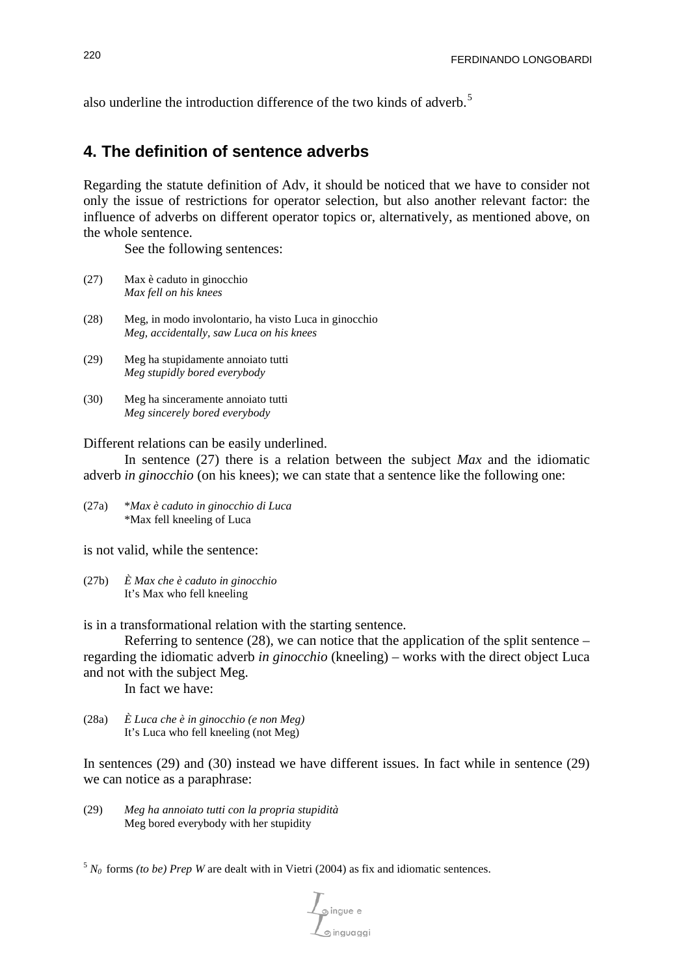also underline the introduction difference of the two kinds of adverb.<sup>[5](#page-7-0)</sup>

## **4. The definition of sentence adverbs**

Regarding the statute definition of Adv, it should be noticed that we have to consider not only the issue of restrictions for operator selection, but also another relevant factor: the influence of adverbs on different operator topics or, alternatively, as mentioned above, on the whole sentence.

See the following sentences:

- (27) Max è caduto in ginocchio *Max fell on his knees*
- (28) Meg, in modo involontario, ha visto Luca in ginocchio *Meg, accidentally, saw Luca on his knees*
- (29) Meg ha stupidamente annoiato tutti *Meg stupidly bored everybody*
- (30) Meg ha sinceramente annoiato tutti *Meg sincerely bored everybody*

#### Different relations can be easily underlined.

In sentence (27) there is a relation between the subject *Max* and the idiomatic adverb *in ginocchio* (on his knees); we can state that a sentence like the following one:

(27a) \**Max è caduto in ginocchio di Luca* \*Max fell kneeling of Luca

is not valid, while the sentence:

(27b) *È Max che è caduto in ginocchio* It's Max who fell kneeling

is in a transformational relation with the starting sentence.

Referring to sentence (28), we can notice that the application of the split sentence – regarding the idiomatic adverb *in ginocchio* (kneeling) – works with the direct object Luca and not with the subject Meg.

In fact we have:

(28a) *È Luca che è in ginocchio (e non Meg)* It's Luca who fell kneeling (not Meg)

In sentences (29) and (30) instead we have different issues. In fact while in sentence (29) we can notice as a paraphrase:

- (29) *Meg ha annoiato tutti con la propria stupidità* Meg bored everybody with her stupidity
- <span id="page-7-0"></span> $5 N_0$  forms *(to be) Prep W* are dealt with in Vietri (2004) as fix and idiomatic sentences.

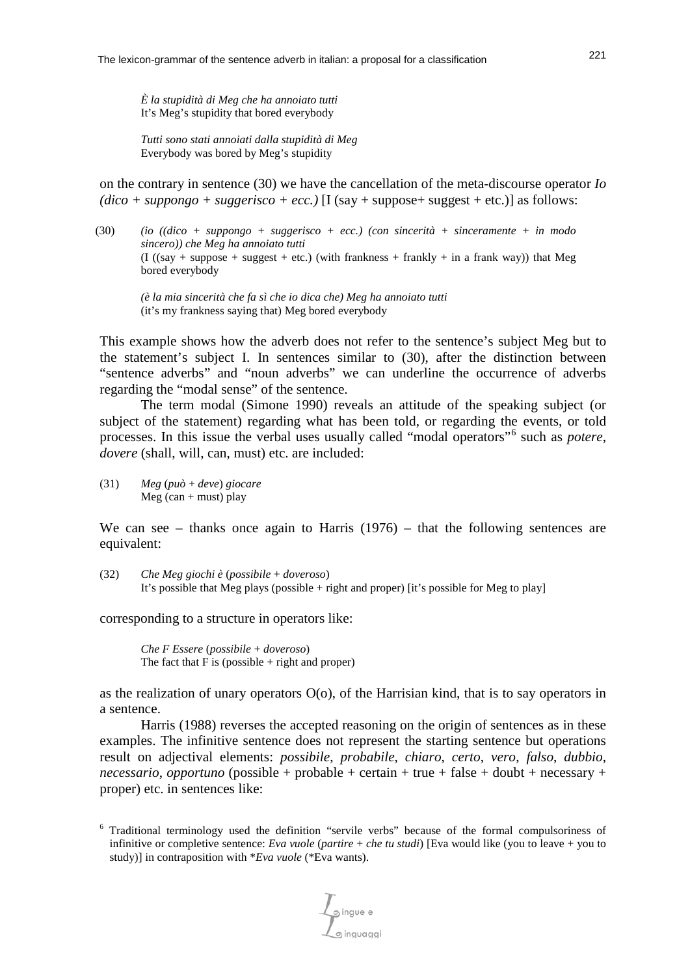*È la stupidità di Meg che ha annoiato tutti* It's Meg's stupidity that bored everybody

*Tutti sono stati annoiati dalla stupidità di Meg* Everybody was bored by Meg's stupidity

on the contrary in sentence (30) we have the cancellation of the meta-discourse operator *Io*   $(dico + suppongo + suggerisco + ecc.)$  [I (say + suppose+ suggest + etc.)] as follows:

(30) *(io ((dico + suppongo + suggerisco + ecc.) (con sincerità + sinceramente + in modo sincero)) che Meg ha annoiato tutti*  $(I ( (say + suppose + suggest + etc.)$  (with frankness + frankly + in a frank way)) that Meg bored everybody

*(è la mia sincerità che fa sì che io dica che) Meg ha annoiato tutti* (it's my frankness saying that) Meg bored everybody

This example shows how the adverb does not refer to the sentence's subject Meg but to the statement's subject I. In sentences similar to (30), after the distinction between "sentence adverbs" and "noun adverbs" we can underline the occurrence of adverbs regarding the "modal sense" of the sentence.

The term modal (Simone 1990) reveals an attitude of the speaking subject (or subject of the statement) regarding what has been told, or regarding the events, or told processes. In this issue the verbal uses usually called "modal operators"[6](#page-8-0) such as *potere*, *dovere* (shall, will, can, must) etc. are included:

(31) *Meg* (*può* + *deve*) *giocare*  $Meg$  (can + must) play

We can see – thanks once again to Harris  $(1976)$  – that the following sentences are equivalent:

(32) *Che Meg giochi è* (*possibile* + *doveroso*) It's possible that Meg plays (possible + right and proper) [it's possible for Meg to play]

corresponding to a structure in operators like:

*Che F Essere* (*possibile* + *doveroso*) The fact that  $F$  is (possible  $+$  right and proper)

as the realization of unary operators  $O(o)$ , of the Harrisian kind, that is to say operators in a sentence.

Harris (1988) reverses the accepted reasoning on the origin of sentences as in these examples. The infinitive sentence does not represent the starting sentence but operations result on adjectival elements: *possibile*, *probabile*, *chiaro*, *certo*, *vero*, *falso*, *dubbio*, *necessario*, *opportuno* (possible + probable + certain + true + false + doubt + necessary + proper) etc. in sentences like:

Singue e

<span id="page-8-0"></span><sup>6</sup> Traditional terminology used the definition "servile verbs" because of the formal compulsoriness of infinitive or completive sentence: *Eva vuole* (*partire* + *che tu studi*) [Eva would like (you to leave + you to study)] in contraposition with \**Eva vuole* (\*Eva wants).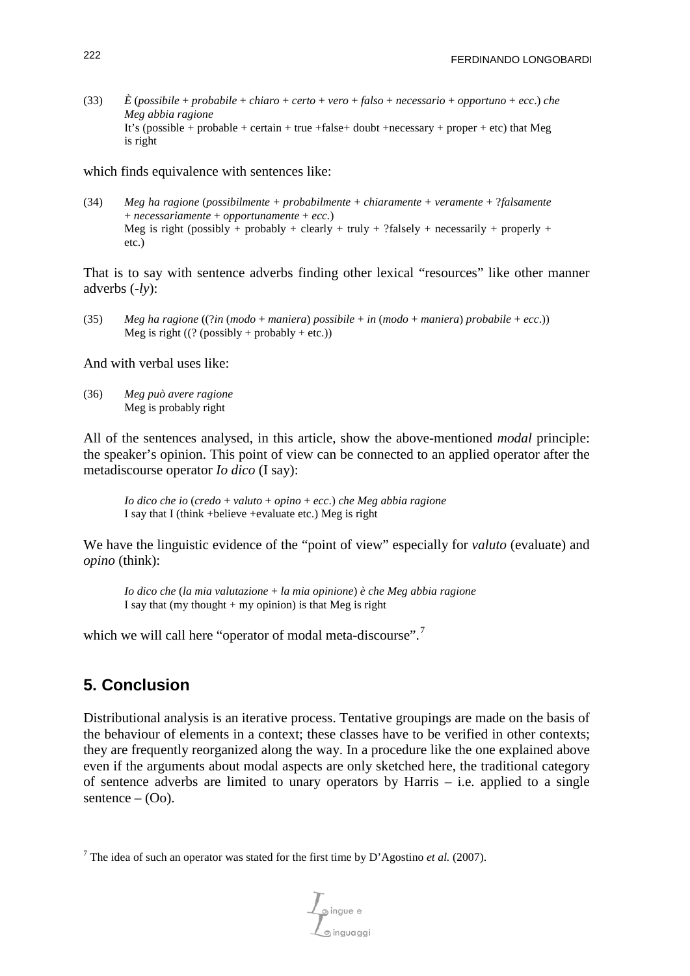(33) *È* (*possibile* + *probabile* + *chiaro* + *certo* + *vero* + *falso* + *necessario* + *opportuno* + *ecc*.) *che Meg abbia ragione* It's (possible + probable + certain + true +false+ doubt +necessary + proper + etc) that Meg is right

which finds equivalence with sentences like:

(34) *Meg ha ragione* (*possibilmente* + *probabilmente* + *chiaramente* + *veramente* + ?*falsamente* + *necessariamente* + *opportunamente* + *ecc.*) Meg is right (possibly + probably + clearly + truly + ?falsely + necessarily + properly + etc.)

That is to say with sentence adverbs finding other lexical "resources" like other manner adverbs (*-ly*):

(35) *Meg ha ragione* ((?*in* (*modo* + *maniera*) *possibile* + *in* (*modo* + *maniera*) *probabile* + *ecc*.)) Meg is right  $((? (possibly + probably + etc.))$ 

And with verbal uses like:

(36) *Meg può avere ragione* Meg is probably right

All of the sentences analysed, in this article, show the above-mentioned *modal* principle: the speaker's opinion. This point of view can be connected to an applied operator after the metadiscourse operator *Io dico* (I say):

*Io dico che io* (*credo* + *valuto* + *opino* + *ecc*.) *che Meg abbia ragione* I say that I (think +believe +evaluate etc.) Meg is right

We have the linguistic evidence of the "point of view" especially for *valuto* (evaluate) and *opino* (think):

*Io dico che* (*la mia valutazione* + *la mia opinione*) *è che Meg abbia ragione* I say that (my thought  $+$  my opinion) is that Meg is right

which we will call here "operator of modal meta-discourse".<sup>[7](#page-9-0)</sup>

# **5. Conclusion**

Distributional analysis is an iterative process. Tentative groupings are made on the basis of the behaviour of elements in a context; these classes have to be verified in other contexts; they are frequently reorganized along the way. In a procedure like the one explained above even if the arguments about modal aspects are only sketched here, the traditional category of sentence adverbs are limited to unary operators by Harris – i.e. applied to a single sentence  $-$  (Oo).

<span id="page-9-0"></span><sup>&</sup>lt;sup>7</sup> The idea of such an operator was stated for the first time by D'Agostino *et al.* (2007).

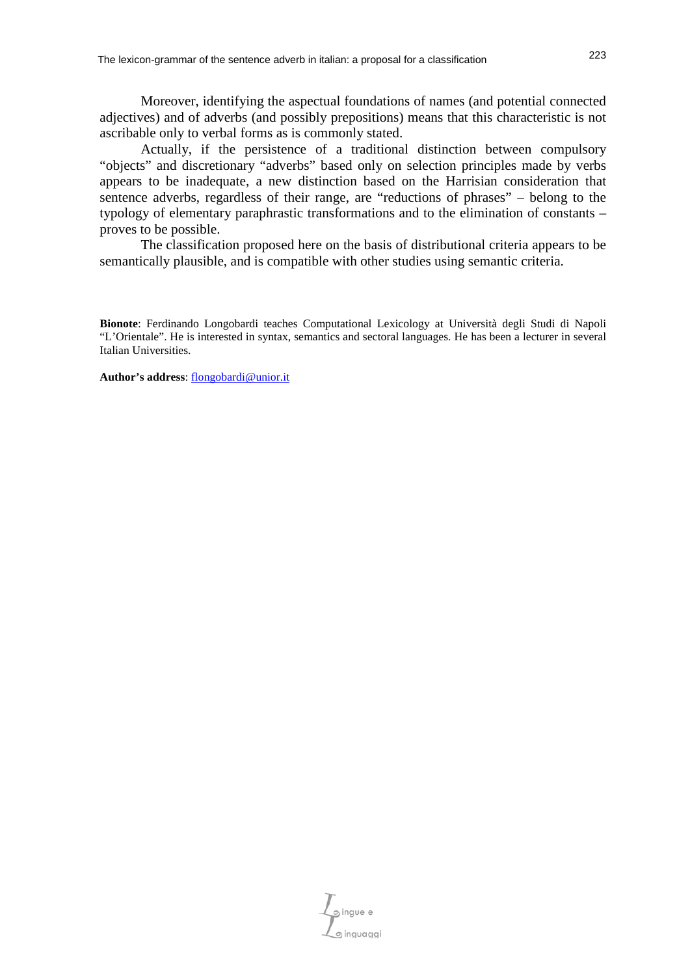Moreover, identifying the aspectual foundations of names (and potential connected adjectives) and of adverbs (and possibly prepositions) means that this characteristic is not ascribable only to verbal forms as is commonly stated.

Actually, if the persistence of a traditional distinction between compulsory "objects" and discretionary "adverbs" based only on selection principles made by verbs appears to be inadequate, a new distinction based on the Harrisian consideration that sentence adverbs, regardless of their range, are "reductions of phrases" – belong to the typology of elementary paraphrastic transformations and to the elimination of constants – proves to be possible.

The classification proposed here on the basis of distributional criteria appears to be semantically plausible, and is compatible with other studies using semantic criteria.

**Author's address**: [flongobardi@unior.it](mailto:flongobardi@unior.it)

 $\mathcal{L}_{\mathfrak{S}}$ ingue e

**Bionote**: Ferdinando Longobardi teaches Computational Lexicology at Università degli Studi di Napoli "L'Orientale". He is interested in syntax, semantics and sectoral languages. He has been a lecturer in several Italian Universities.